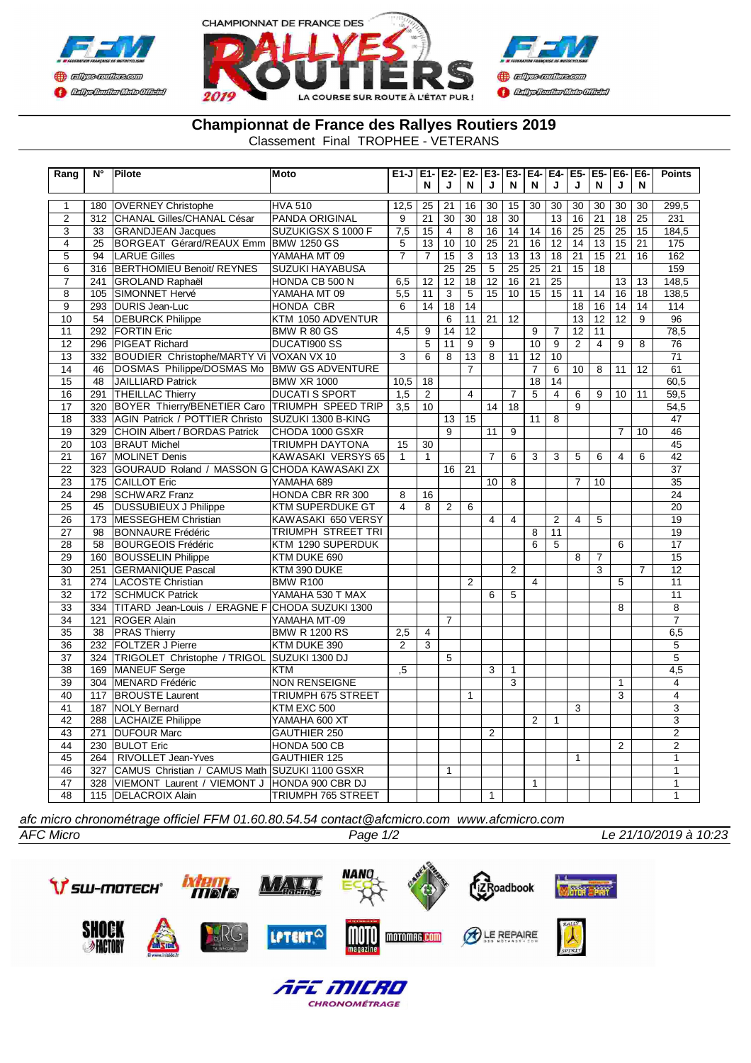



**Championnat de France des Rallyes Routiers 2019**

Classement Final TROPHEE - VETERANS

| Rang                             | $\overline{\mathsf{N}^\circ}$ | Pilote                                                  | Moto                                     | $E1-J$ $E1-IE2-J$      |                       |                       | E2-                   | E3-                   | $E3-$                 | $E4-$           | E4-             | $E5-EE5-$             |                       | $E6-$                 | E6-                   | <b>Points</b>    |
|----------------------------------|-------------------------------|---------------------------------------------------------|------------------------------------------|------------------------|-----------------------|-----------------------|-----------------------|-----------------------|-----------------------|-----------------|-----------------|-----------------------|-----------------------|-----------------------|-----------------------|------------------|
|                                  |                               |                                                         |                                          |                        | N                     | J                     | N                     | J                     | N                     | N               | J               | J                     | N                     | J                     | N                     |                  |
|                                  |                               |                                                         |                                          |                        |                       |                       |                       |                       |                       |                 |                 |                       |                       |                       |                       |                  |
| $\mathbf{1}$<br>$\overline{2}$   | 180<br>312                    | <b>OVERNEY Christophe</b><br>CHANAL Gilles/CHANAL César | <b>HVA 510</b><br><b>PANDA ORIGINAL</b>  | 12,5<br>$\overline{9}$ | 25<br>$\overline{21}$ | 21<br>$\overline{30}$ | 16<br>$\overline{30}$ | 30<br>$\overline{18}$ | 15<br>$\overline{30}$ | 30              | 30<br>13        | 30<br>$\overline{16}$ | 30<br>$\overline{21}$ | 30<br>$\overline{18}$ | 30<br>$\overline{25}$ | 299,5<br>231     |
|                                  |                               | <b>GRANDJEAN Jacques</b>                                |                                          |                        | $\overline{15}$       | $\overline{4}$        | $\overline{8}$        | $\overline{16}$       | $\overline{14}$       |                 | $\overline{16}$ |                       | $\overline{25}$       | $\overline{25}$       | $\overline{15}$       |                  |
| $\overline{3}$<br>$\overline{4}$ | 33<br>25                      | <b>BORGEAT Gérard/REAUX Emm</b>                         | SUZUKIGSX S 1000 F<br><b>BMW 1250 GS</b> | 7,5<br>5               | 13                    | 10                    | 10                    | 25                    | 21                    | 14<br>16        | 12              | $\overline{25}$<br>14 | $\overline{13}$       | 15                    | 21                    | 184,5<br>175     |
| 5                                | 94                            | <b>LARUE Gilles</b>                                     | YAMAHA MT 09                             | $\overline{7}$         | $\overline{7}$        | 15                    | 3                     | 13                    | 13                    | 13              | 18              | 21                    | 15                    | 21                    | 16                    | 162              |
| 6                                | $31\overline{6}$              | <b>BERTHOMIEU Benoit/ REYNES</b>                        | <b>SUZUKI HAYABUSA</b>                   |                        |                       | 25                    | 25                    | 5                     | 25                    | 25              | 21              | 15                    | 18                    |                       |                       | 159              |
| $\overline{7}$                   | 241                           | GROLAND Raphaël                                         | HONDA CB 500 N                           | 6,5                    | 12                    | $\overline{12}$       | $\overline{18}$       | 12                    | 16                    | 21              | $\overline{25}$ |                       |                       | 13                    | 13                    | 148,5            |
| $\overline{8}$                   | 105                           | SIMONNET Hervé                                          | YAMAHA MT 09                             | 5.5                    | 11                    | 3                     | $\overline{5}$        | 15                    | 10                    | 15              | $\overline{15}$ | 11                    | 14                    | 16                    | $\overline{18}$       | 138,5            |
| $\overline{9}$                   | 293                           | <b>DURIS Jean-Luc</b>                                   | <b>HONDA CBR</b>                         | $\overline{6}$         | 14                    | 18                    | 14                    |                       |                       |                 |                 | $\overline{18}$       | 16                    | 14                    | 14                    | 114              |
| $\overline{10}$                  | $\overline{54}$               | <b>DEBURCK Philippe</b>                                 | KTM 1050 ADVENTUR                        |                        |                       | 6                     | $\overline{11}$       | $\overline{21}$       | $\overline{12}$       |                 |                 | $\overline{13}$       | $\overline{12}$       | $\overline{12}$       | $\overline{9}$        | $\overline{96}$  |
| $\overline{11}$                  | 292                           | <b>FORTIN Eric</b>                                      | BMW R 80 GS                              | $\overline{4,5}$       | $\overline{9}$        | $\overline{14}$       | $\overline{12}$       |                       |                       | $\overline{9}$  | $\overline{7}$  | $\overline{12}$       | $\overline{11}$       |                       |                       | 78,5             |
| $\overline{12}$                  | 296                           | <b>PIGEAT Richard</b>                                   | DUCATI900 SS                             |                        | $\overline{5}$        | 11                    | 9                     | 9                     |                       | 10              | $\overline{9}$  | $\overline{2}$        | $\overline{4}$        | 9                     | 8                     | $\overline{76}$  |
| $\overline{13}$                  | 332                           | BOUDIER Christophe/MARTY Vi VOXAN VX 10                 |                                          | $\overline{3}$         | $\overline{6}$        | $\overline{8}$        | $\overline{13}$       | $\overline{8}$        | $\overline{11}$       | $\overline{12}$ | 10              |                       |                       |                       |                       | $\overline{71}$  |
| 14                               | 46                            | DOSMAS Philippe/DOSMAS Mo                               | <b>BMW GS ADVENTURE</b>                  |                        |                       |                       | $\overline{7}$        |                       |                       | $\overline{7}$  | 6               | 10                    | 8                     | 11                    | 12                    | 61               |
| 15                               | 48                            | <b>JAILLIARD Patrick</b>                                | <b>BMW XR 1000</b>                       | 10,5                   | 18                    |                       |                       |                       |                       | 18              | 14              |                       |                       |                       |                       | 60.5             |
| 16                               | 291                           | <b>THEILLAC Thierry</b>                                 | <b>DUCATI S SPORT</b>                    | 1,5                    | $\overline{2}$        |                       | $\overline{4}$        |                       | $\overline{7}$        | 5               | 4               | 6                     | 9                     | 10                    | 11                    | 59,5             |
| 17                               | 320                           | <b>BOYER Thierry/BENETIER Caro</b>                      | <b>TRIUMPH SPEED TRIP</b>                | 3,5                    | 10                    |                       |                       | 14                    | 18                    |                 |                 | $\overline{9}$        |                       |                       |                       | 54,5             |
| $\overline{18}$                  | 333                           | <b>AGIN Patrick / POTTIER Christo</b>                   | SUZUKI 1300 B-KING                       |                        |                       | 13                    | $\overline{15}$       |                       |                       | 11              | $\overline{8}$  |                       |                       |                       |                       | $\overline{47}$  |
| 19                               | 329                           | CHOIN Albert / BORDAS Patrick                           | CHODA 1000 GSXR                          |                        |                       | $\overline{9}$        |                       | 11                    | $\overline{9}$        |                 |                 |                       |                       | $\overline{7}$        | 10                    | 46               |
| 20                               | 103                           | <b>BRAUT Michel</b>                                     | <b>TRIUMPH DAYTONA</b>                   | 15                     | 30                    |                       |                       |                       |                       |                 |                 |                       |                       |                       |                       | 45               |
| $\overline{21}$                  | 167                           | <b>MOLINET Denis</b>                                    | KAWASAKI VERSYS 65                       | 1                      | $\mathbf{1}$          |                       |                       | $\overline{7}$        | 6                     | 3               | 3               | 5                     | 6                     | $\overline{4}$        | 6                     | 42               |
| $\overline{22}$                  | 323                           | GOURAUD Roland / MASSON G CHODA KAWASAKI ZX             |                                          |                        |                       |                       | $\overline{21}$       |                       |                       |                 |                 |                       |                       |                       |                       | $\overline{37}$  |
| $\overline{23}$                  | 175                           | <b>CAILLOT Eric</b>                                     | YAMAHA 689                               |                        |                       | 16                    |                       | $\overline{10}$       | $\overline{8}$        |                 |                 | $\overline{7}$        | $\overline{10}$       |                       |                       | $\overline{35}$  |
| $\overline{24}$                  | 298                           | <b>SCHWARZ Franz</b>                                    | <b>HONDA CBR RR 300</b>                  | 8                      | 16                    |                       |                       |                       |                       |                 |                 |                       |                       |                       |                       | 24               |
| 25                               | 45                            | <b>DUSSUBIEUX J Philippe</b>                            | <b>KTM SUPERDUKE GT</b>                  | $\overline{4}$         | 8                     | $\overline{2}$        | 6                     |                       |                       |                 |                 |                       |                       |                       |                       | 20               |
| 26                               | 173                           | <b>MESSEGHEM Christian</b>                              | KAWASAKI 650 VERSY                       |                        |                       |                       |                       | $\overline{4}$        | $\overline{4}$        |                 | $\overline{2}$  | $\overline{4}$        | $\overline{5}$        |                       |                       | 19               |
| 27                               | 98                            | <b>BONNAURE Frédéric</b>                                | <b>TRIUMPH STREET TRI</b>                |                        |                       |                       |                       |                       |                       | 8               | 11              |                       |                       |                       |                       | 19               |
| 28                               | 58                            | <b>BOURGEOIS Frédéric</b>                               | KTM 1290 SUPERDUK                        |                        |                       |                       |                       |                       |                       | 6               | $\overline{5}$  |                       |                       | $\overline{6}$        |                       | 17               |
| 29                               | 160                           | <b>BOUSSELIN Philippe</b>                               | KTM DUKE 690                             |                        |                       |                       |                       |                       |                       |                 |                 | 8                     | $\overline{7}$        |                       |                       | 15               |
| $\overline{30}$                  | 251                           | <b>GERMANIQUE Pascal</b>                                | KTM 390 DUKE                             |                        |                       |                       |                       |                       | $\overline{2}$        |                 |                 |                       | $\overline{3}$        |                       | $\overline{7}$        | $\overline{12}$  |
| $\overline{31}$                  | 274                           | LACOSTE Christian                                       | <b>BMW R100</b>                          |                        |                       |                       | 2                     |                       |                       | $\overline{4}$  |                 |                       |                       | 5                     |                       | $\overline{11}$  |
| 32                               | 172                           | <b>SCHMUCK Patrick</b>                                  | YAMAHA 530 T MAX                         |                        |                       |                       |                       | 6                     | 5                     |                 |                 |                       |                       |                       |                       | 11               |
| $\overline{33}$                  | 334                           | <b>TITARD Jean-Louis / ERAGNE F</b>                     | CHODA SUZUKI 1300                        |                        |                       |                       |                       |                       |                       |                 |                 |                       |                       | 8                     |                       | $\overline{8}$   |
| 34                               | 121                           | ROGER Alain                                             | YAMAHA MT-09                             |                        |                       | $\overline{7}$        |                       |                       |                       |                 |                 |                       |                       |                       |                       | $\overline{7}$   |
| 35                               | 38                            | <b>PRAS Thierry</b>                                     | <b>BMW R 1200 RS</b>                     | 2,5                    | 4                     |                       |                       |                       |                       |                 |                 |                       |                       |                       |                       | 6,5              |
| 36                               | 232                           | <b>FOLTZER J Pierre</b>                                 | KTM DUKE 390                             | 2                      | 3                     |                       |                       |                       |                       |                 |                 |                       |                       |                       |                       | $\overline{5}$   |
| $\overline{37}$                  | 324                           | TRIGOLET Christophe / TRIGOL                            | SUZUKI 1300 DJ                           |                        |                       | $\overline{5}$        |                       |                       |                       |                 |                 |                       |                       |                       |                       | $\overline{5}$   |
| 38                               | 169                           | <b>MANEUF Serge</b>                                     | <b>KTM</b>                               | $\overline{.5}$        |                       |                       |                       | 3                     | $\mathbf{1}$          |                 |                 |                       |                       |                       |                       | $\overline{4,5}$ |
| $\overline{39}$                  | 304                           | MENARD Frédéric                                         | <b>NON RENSEIGNE</b>                     |                        |                       |                       |                       |                       | $\overline{3}$        |                 |                 |                       |                       | 1                     |                       | $\overline{4}$   |
| 40                               | 117                           | <b>BROUSTE Laurent</b>                                  | <b>TRIUMPH 675 STREET</b>                |                        |                       |                       |                       |                       |                       |                 |                 |                       |                       | $\overline{3}$        |                       | $\overline{4}$   |
| 41                               | 187                           | <b>NOLY Bernard</b>                                     | KTM EXC 500                              |                        |                       |                       | 1                     |                       |                       |                 |                 | $\overline{3}$        |                       |                       |                       | $\overline{3}$   |
| 42                               |                               |                                                         |                                          |                        |                       |                       |                       |                       |                       |                 |                 |                       |                       |                       |                       | 3                |
| $\overline{43}$                  | 288<br>271                    | <b>LACHAIZE Philippe</b><br><b>DUFOUR Marc</b>          | YAMAHA 600 XT<br><b>GAUTHIER 250</b>     |                        |                       |                       |                       | 2                     |                       | 2               | $\mathbf{1}$    |                       |                       |                       |                       | $\overline{2}$   |
| 44                               |                               |                                                         |                                          |                        |                       |                       |                       |                       |                       |                 |                 |                       |                       |                       |                       | $\overline{2}$   |
|                                  | 230                           | <b>BULOT Eric</b>                                       | HONDA 500 CB                             |                        |                       |                       |                       |                       |                       |                 |                 |                       |                       | $\overline{2}$        |                       |                  |
| 45                               | 264                           | RIVOLLET Jean-Yves<br>CAMUS Christian / CAMUS Math      | <b>GAUTHIER 125</b>                      |                        |                       |                       |                       |                       |                       |                 |                 | $\mathbf{1}$          |                       |                       |                       | 1                |
| 46                               | 327                           |                                                         | SUZUKI 1100 GSXR                         |                        |                       | $\mathbf{1}$          |                       |                       |                       |                 |                 |                       |                       |                       |                       | $\mathbf{1}$     |
| 47                               | 328                           | VIEMONT Laurent / VIEMONT J                             | HONDA 900 CBR DJ                         |                        |                       |                       |                       |                       |                       | $\mathbf{1}$    |                 |                       |                       |                       |                       | $\overline{1}$   |
| 48                               | 115                           | <b>DELACROIX Alain</b>                                  | <b>TRIUMPH 765 STREET</b>                |                        |                       |                       |                       | $\mathbf{1}$          |                       |                 |                 |                       |                       |                       |                       | $\overline{1}$   |

*AFC Micro Page 1/2 Le 21/10/2019 à 10:23 afc micro chronométrage officiel FFM 01.60.80.54.54 contact@afcmicro.com www.afcmicro.com*





**CHRONOMÉTRAGE**